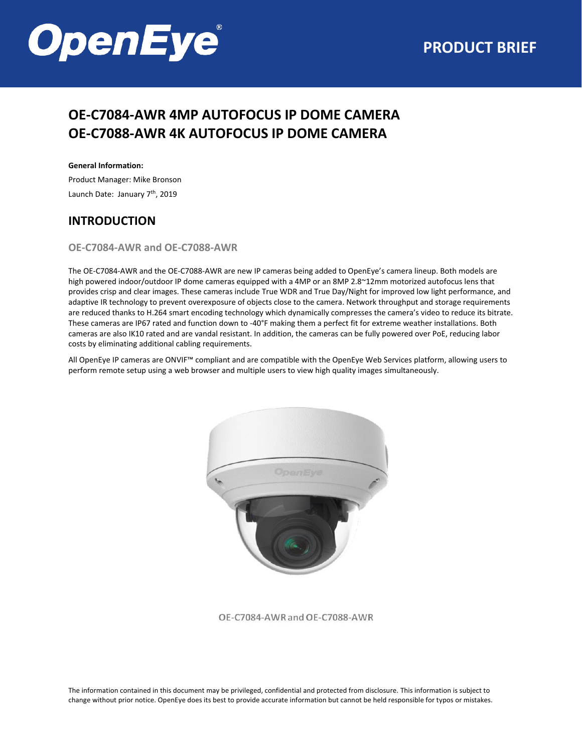

# **OE-C7084-AWR 4MP AUTOFOCUS IP DOME CAMERA OE-C7088-AWR 4K AUTOFOCUS IP DOME CAMERA**

#### **General Information:**

Product Manager: Mike Bronson Launch Date: January 7<sup>th</sup>, 2019

#### **INTRODUCTION**

#### **OE-C7084-AWR and OE-C7088-AWR**

The OE-C7084-AWR and the OE-C7088-AWR are new IP cameras being added to OpenEye's camera lineup. Both models are high powered indoor/outdoor IP dome cameras equipped with a 4MP or an 8MP 2.8~12mm motorized autofocus lens that provides crisp and clear images. These cameras include True WDR and True Day/Night for improved low light performance, and adaptive IR technology to prevent overexposure of objects close to the camera. Network throughput and storage requirements are reduced thanks to H.264 smart encoding technology which dynamically compresses the camera's video to reduce its bitrate. These cameras are IP67 rated and function down to -40°F making them a perfect fit for extreme weather installations. Both cameras are also IK10 rated and are vandal resistant. In addition, the cameras can be fully powered over PoE, reducing labor costs by eliminating additional cabling requirements.

All OpenEye IP cameras are ONVIF™ compliant and are compatible with the OpenEye Web Services platform, allowing users to perform remote setup using a web browser and multiple users to view high quality images simultaneously.



OE-C7084-AWR and OE-C7088-AWR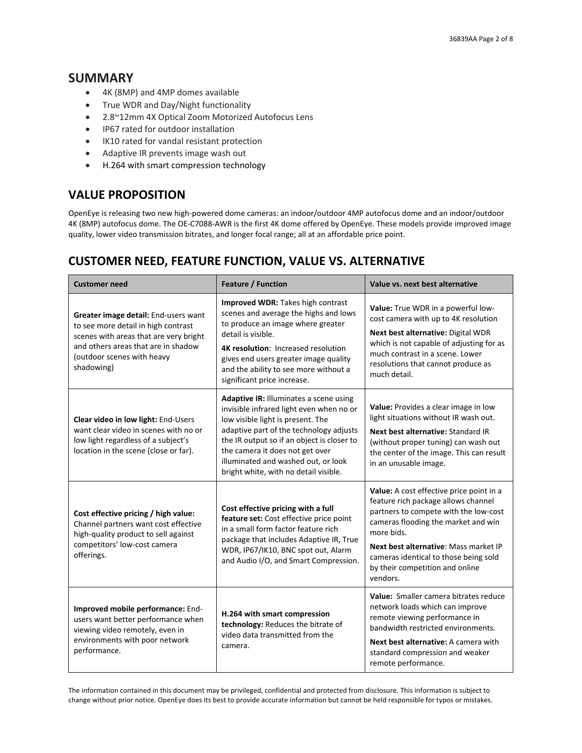#### **SUMMARY**

- 4K (8MP) and 4MP domes available
- True WDR and Day/Night functionality
- 2.8~12mm 4X Optical Zoom Motorized Autofocus Lens
- IP67 rated for outdoor installation
- IK10 rated for vandal resistant protection
- Adaptive IR prevents image wash out
- H.264 with smart compression technology

# **VALUE PROPOSITION**

OpenEye is releasing two new high-powered dome cameras: an indoor/outdoor 4MP autofocus dome and an indoor/outdoor 4K (8MP) autofocus dome. The OE-C7088-AWR is the first 4K dome offered by OpenEye. These models provide improved image quality, lower video transmission bitrates, and longer focal range; all at an affordable price point.

# **CUSTOMER NEED, FEATURE FUNCTION, VALUE VS. ALTERNATIVE**

| <b>Customer need</b>                                                                                                                                                                                     | Feature / Function                                                                                                                                                                                                                                                                                                                         | Value vs. next best alternative                                                                                                                                                                                                                                                                                |  |
|----------------------------------------------------------------------------------------------------------------------------------------------------------------------------------------------------------|--------------------------------------------------------------------------------------------------------------------------------------------------------------------------------------------------------------------------------------------------------------------------------------------------------------------------------------------|----------------------------------------------------------------------------------------------------------------------------------------------------------------------------------------------------------------------------------------------------------------------------------------------------------------|--|
| Greater image detail: End-users want<br>to see more detail in high contrast<br>scenes with areas that are very bright<br>and others areas that are in shadow<br>(outdoor scenes with heavy<br>shadowing) | Improved WDR: Takes high contrast<br>scenes and average the highs and lows<br>to produce an image where greater<br>detail is visible.<br><b>4K resolution: Increased resolution</b><br>gives end users greater image quality<br>and the ability to see more without a<br>significant price increase.                                       | Value: True WDR in a powerful low-<br>cost camera with up to 4K resolution<br>Next best alternative: Digital WDR<br>which is not capable of adjusting for as<br>much contrast in a scene. Lower<br>resolutions that cannot produce as<br>much detail.                                                          |  |
| Clear video in low light: End-Users<br>want clear video in scenes with no or<br>low light regardless of a subject's<br>location in the scene (close or far).                                             | <b>Adaptive IR: Illuminates a scene using</b><br>invisible infrared light even when no or<br>low visible light is present. The<br>adaptive part of the technology adjusts<br>the IR output so if an object is closer to<br>the camera it does not get over<br>illuminated and washed out, or look<br>bright white, with no detail visible. | Value: Provides a clear image in low<br>light situations without IR wash out.<br>Next best alternative: Standard IR<br>(without proper tuning) can wash out<br>the center of the image. This can result<br>in an unusable image.                                                                               |  |
| Cost effective pricing / high value:<br>Channel partners want cost effective<br>high-quality product to sell against<br>competitors' low-cost camera<br>offerings.                                       | Cost effective pricing with a full<br>feature set: Cost effective price point<br>in a small form factor feature rich<br>package that includes Adaptive IR, True<br>WDR, IP67/IK10, BNC spot out, Alarm<br>and Audio I/O, and Smart Compression.                                                                                            | Value: A cost effective price point in a<br>feature rich package allows channel<br>partners to compete with the low-cost<br>cameras flooding the market and win<br>more bids.<br>Next best alternative: Mass market IP<br>cameras identical to those being sold<br>by their competition and online<br>vendors. |  |
| Improved mobile performance: End-<br>users want better performance when<br>viewing video remotely, even in<br>environments with poor network<br>performance.                                             | H.264 with smart compression<br>technology: Reduces the bitrate of<br>video data transmitted from the<br>camera.                                                                                                                                                                                                                           | Value: Smaller camera bitrates reduce<br>network loads which can improve<br>remote viewing performance in<br>bandwidth restricted environments.<br>Next best alternative: A camera with<br>standard compression and weaker<br>remote performance.                                                              |  |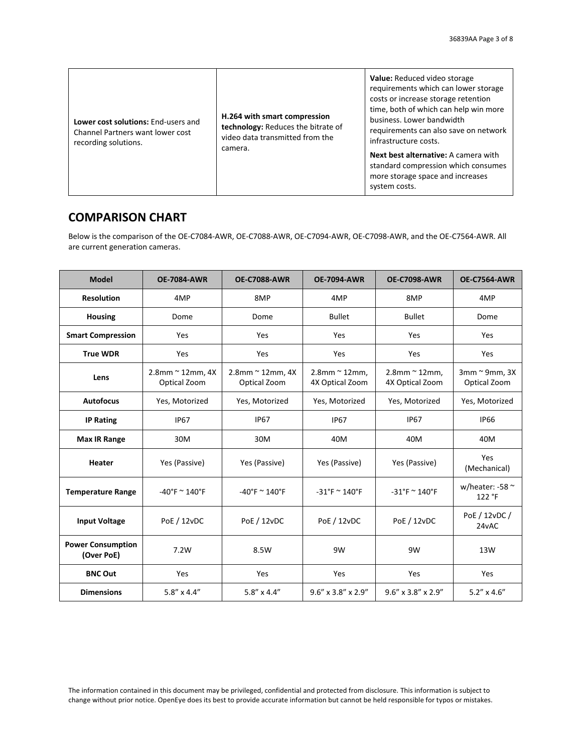#### **COMPARISON CHART**

Below is the comparison of the OE-C7084-AWR, OE-C7088-AWR, OE-C7094-AWR, OE-C7098-AWR, and the OE-C7564-AWR. All are current generation cameras.

| <b>Model</b>                           | <b>OE-7084-AWR</b>               | <b>OE-C7088-AWR</b>                 | <b>OE-7094-AWR</b>                  | <b>OE-C7098-AWR</b>                 | <b>OE-C7564-AWR</b>               |
|----------------------------------------|----------------------------------|-------------------------------------|-------------------------------------|-------------------------------------|-----------------------------------|
| <b>Resolution</b>                      | 4MP                              | 8MP                                 | 4MP                                 | 8MP                                 | 4MP                               |
| <b>Housing</b>                         | Dome                             | Dome                                | <b>Bullet</b>                       | <b>Bullet</b>                       | Dome                              |
| <b>Smart Compression</b>               | Yes                              | Yes                                 | Yes                                 | Yes                                 | Yes                               |
| <b>True WDR</b>                        | Yes                              | Yes                                 | Yes                                 | Yes                                 | Yes                               |
| Lens                                   | 2.8mm ~ 12mm, 4X<br>Optical Zoom | $2.8$ mm ~ 12mm, 4X<br>Optical Zoom | $2.8$ mm ~ 12mm,<br>4X Optical Zoom | $2.8$ mm ~ 12mm,<br>4X Optical Zoom | 3mm ~ 9mm, 3X<br>Optical Zoom     |
| <b>Autofocus</b>                       | Yes, Motorized                   | Yes, Motorized                      | Yes, Motorized                      | Yes, Motorized                      | Yes, Motorized                    |
| <b>IP Rating</b>                       | <b>IP67</b>                      | <b>IP67</b>                         | <b>IP67</b>                         | <b>IP67</b>                         | <b>IP66</b>                       |
| <b>Max IR Range</b>                    | 30M                              | 30M                                 | 40M                                 | 40M                                 | 40M                               |
| Heater                                 | Yes (Passive)                    | Yes (Passive)                       | Yes (Passive)                       | Yes (Passive)                       | Yes<br>(Mechanical)               |
| <b>Temperature Range</b>               | $-40^{\circ}$ F ~ 140°F          | $-40^{\circ}$ F ~ 140°F             | $-31^{\circ}$ F ~ 140 $^{\circ}$ F  | $-31^{\circ}$ F ~ 140°F             | w/heater: -58 $\approx$<br>122 °F |
| <b>Input Voltage</b>                   | PoE / 12vDC                      | PoE / 12vDC                         | PoE / 12vDC                         | <b>PoE / 12vDC</b>                  | PoE / 12vDC /<br>24vAC            |
| <b>Power Consumption</b><br>(Over PoE) | 7.2W                             | 8.5W                                | 9W                                  | 9W                                  | 13W                               |
| <b>BNC Out</b>                         | Yes                              | Yes                                 | Yes                                 | Yes                                 | Yes                               |
| <b>Dimensions</b>                      | $5.8'' \times 4.4''$             | $5.8'' \times 4.4''$                | $9.6'' \times 3.8'' \times 2.9''$   | $9.6'' \times 3.8'' \times 2.9''$   | $5.2'' \times 4.6''$              |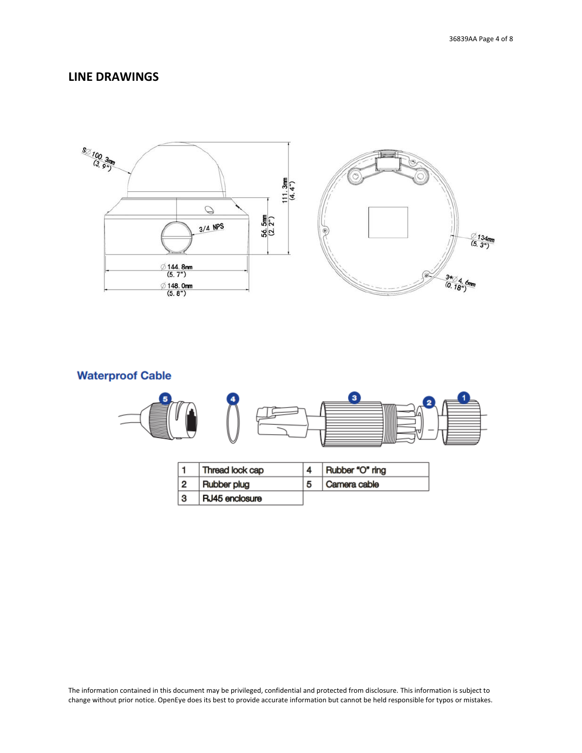#### **LINE DRAWINGS**



# **Waterproof Cable**



|   | <b>Thread lock cap</b> | Rubber "O" ring |
|---|------------------------|-----------------|
|   | Rubber plug            | Camera cable    |
| 3 | RJ45 enclosure         |                 |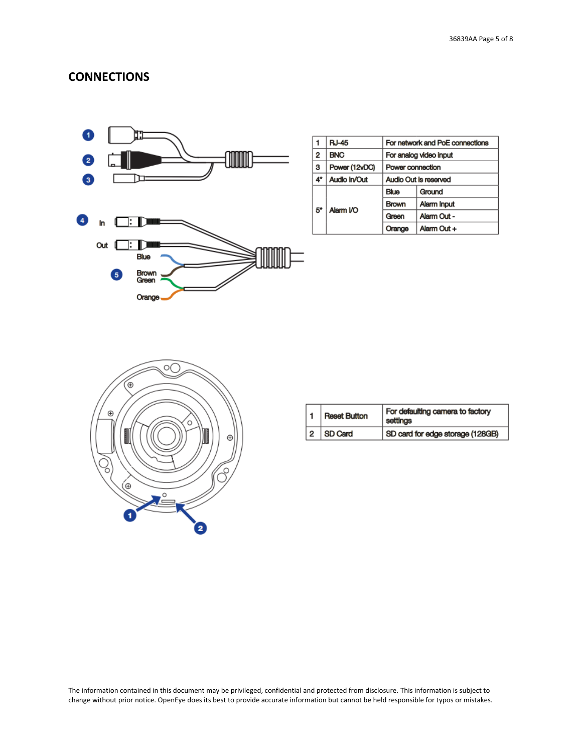#### **CONNECTIONS**



|    | <b>RJ-45</b>  | For network and PoE connections |             |
|----|---------------|---------------------------------|-------------|
| 2  | <b>BNC</b>    | For analog video input          |             |
| 3  | Power (12vDC) | Power connection                |             |
| 4* | Audio In/Out  | Audio Out is reserved           |             |
| 5. | Alarm I/O     | <b>Blue</b>                     | Ground      |
|    |               | <b>Brown</b>                    | Alarm Input |
|    |               | Green                           | Alarm Out - |
|    |               | Orange                          | Alarm Out + |



|  | 1   Reset Button | For defaulting camera to factory<br>settings |
|--|------------------|----------------------------------------------|
|  | 2 SD Card        | SD card for edge storage (128GB)             |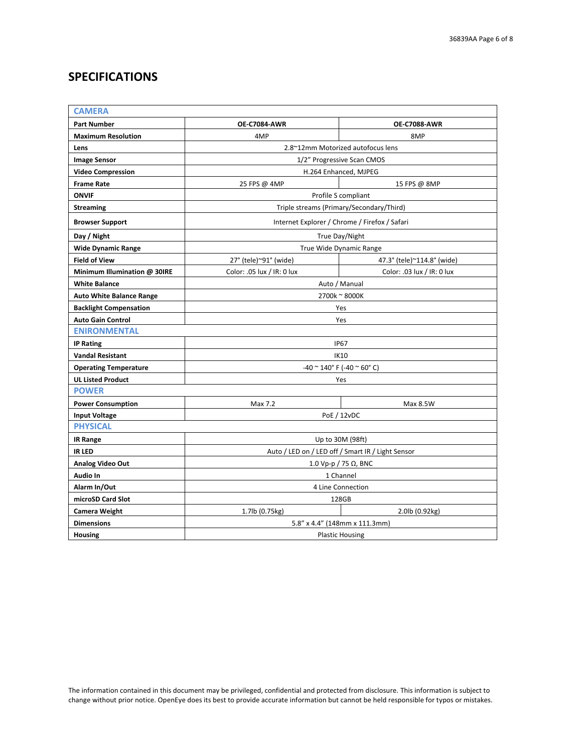### **SPECIFICATIONS**

| <b>CAMERA</b>                   |                                                   |                            |  |  |
|---------------------------------|---------------------------------------------------|----------------------------|--|--|
| <b>Part Number</b>              | <b>OE-C7084-AWR</b>                               | <b>OE-C7088-AWR</b>        |  |  |
| <b>Maximum Resolution</b>       | 4MP                                               | 8MP                        |  |  |
| Lens                            | 2.8~12mm Motorized autofocus lens                 |                            |  |  |
| <b>Image Sensor</b>             |                                                   | 1/2" Progressive Scan CMOS |  |  |
| <b>Video Compression</b>        | H.264 Enhanced, MJPEG                             |                            |  |  |
| <b>Frame Rate</b>               | 25 FPS @ 4MP<br>15 FPS @ 8MP                      |                            |  |  |
| <b>ONVIF</b>                    | Profile S compliant                               |                            |  |  |
| <b>Streaming</b>                | Triple streams (Primary/Secondary/Third)          |                            |  |  |
| <b>Browser Support</b>          | Internet Explorer / Chrome / Firefox / Safari     |                            |  |  |
| Day / Night                     | True Day/Night                                    |                            |  |  |
| <b>Wide Dynamic Range</b>       |                                                   | True Wide Dynamic Range    |  |  |
| <b>Field of View</b>            | 27° (tele)~91° (wide)                             | 47.3° (tele)~114.8° (wide) |  |  |
| Minimum Illumination @ 30IRE    | Color: .05 lux / IR: 0 lux                        | Color: .03 lux / IR: 0 lux |  |  |
| <b>White Balance</b>            | Auto / Manual                                     |                            |  |  |
| <b>Auto White Balance Range</b> | 2700k ~ 8000K                                     |                            |  |  |
| <b>Backlight Compensation</b>   | Yes                                               |                            |  |  |
| <b>Auto Gain Control</b>        | Yes                                               |                            |  |  |
| <b>ENIRONMENTAL</b>             |                                                   |                            |  |  |
| <b>IP Rating</b>                | <b>IP67</b>                                       |                            |  |  |
| <b>Vandal Resistant</b>         | <b>IK10</b>                                       |                            |  |  |
| <b>Operating Temperature</b>    | -40 ~ 140° F (-40 ~ 60° C)                        |                            |  |  |
| <b>UL Listed Product</b>        | Yes                                               |                            |  |  |
| <b>POWER</b>                    |                                                   |                            |  |  |
| <b>Power Consumption</b>        | Max 7.2                                           | Max 8.5W                   |  |  |
| <b>Input Voltage</b>            | <b>PoE / 12vDC</b>                                |                            |  |  |
|                                 | <b>PHYSICAL</b>                                   |                            |  |  |
| <b>IR Range</b>                 | Up to 30M (98ft)                                  |                            |  |  |
| <b>IR LED</b>                   | Auto / LED on / LED off / Smart IR / Light Sensor |                            |  |  |
| Analog Video Out                | 1.0 Vp-p / 75 Ω, BNC                              |                            |  |  |
| Audio In                        | 1 Channel                                         |                            |  |  |
| Alarm In/Out                    | 4 Line Connection                                 |                            |  |  |
| microSD Card Slot               | 128GB                                             |                            |  |  |
| <b>Camera Weight</b>            | 1.7lb (0.75kg)<br>2.0lb (0.92kg)                  |                            |  |  |
| <b>Dimensions</b>               | 5.8" x 4.4" (148mm x 111.3mm)                     |                            |  |  |
| <b>Housing</b>                  | <b>Plastic Housing</b>                            |                            |  |  |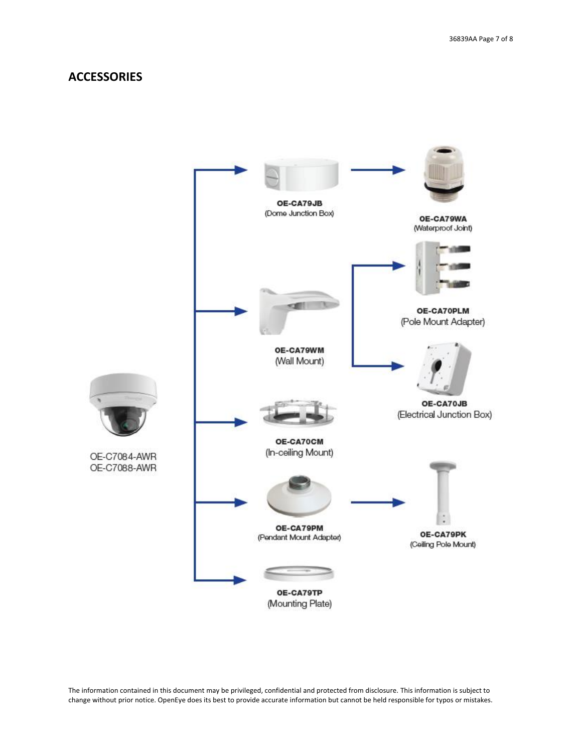#### **ACCESSORIES**